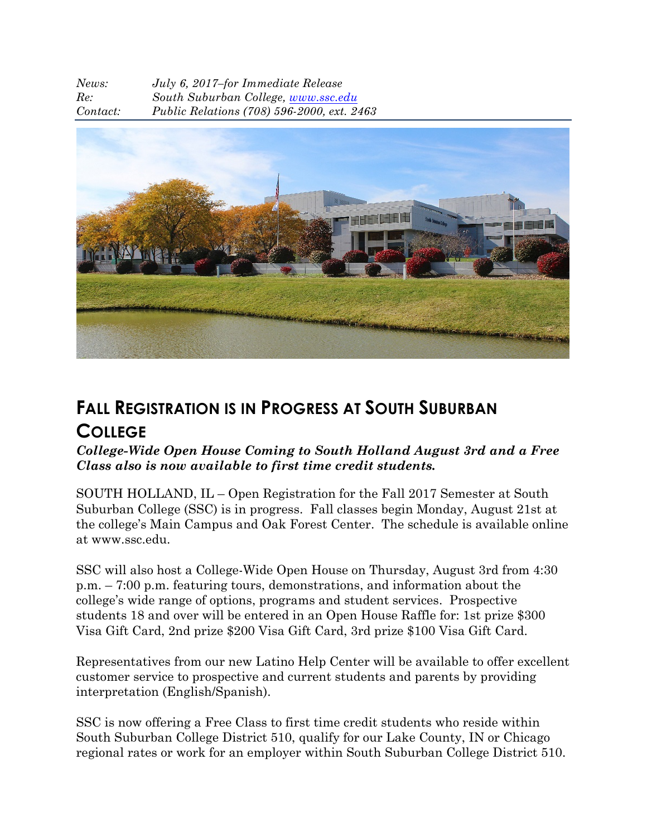| News:    | July 6, 2017-for Immediate Release         |
|----------|--------------------------------------------|
| Re:      | South Suburban College, www.ssc.edu        |
| Contact: | Public Relations (708) 596-2000, ext. 2463 |



## **FALL REGISTRATION IS IN PROGRESS AT SOUTH SUBURBAN COLLEGE**

## *College-Wide Open House Coming to South Holland August 3rd and a Free Class also is now available to first time credit students.*

SOUTH HOLLAND, IL – Open Registration for the Fall 2017 Semester at South Suburban College (SSC) is in progress. Fall classes begin Monday, August 21st at the college's Main Campus and Oak Forest Center. The schedule is available online at www.ssc.edu.

SSC will also host a College-Wide Open House on Thursday, August 3rd from 4:30 p.m. – 7:00 p.m. featuring tours, demonstrations, and information about the college's wide range of options, programs and student services. Prospective students 18 and over will be entered in an Open House Raffle for: 1st prize \$300 Visa Gift Card, 2nd prize \$200 Visa Gift Card, 3rd prize \$100 Visa Gift Card.

Representatives from our new Latino Help Center will be available to offer excellent customer service to prospective and current students and parents by providing interpretation (English/Spanish).

SSC is now offering a Free Class to first time credit students who reside within South Suburban College District 510, qualify for our Lake County, IN or Chicago regional rates or work for an employer within South Suburban College District 510.